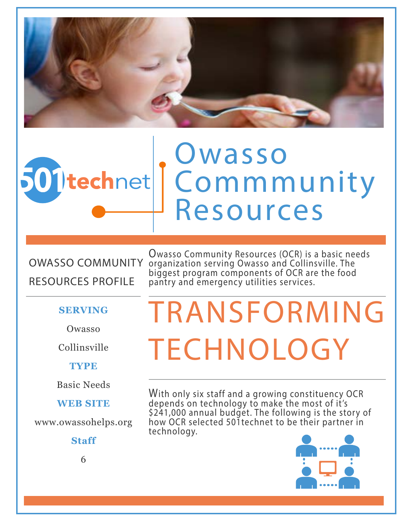

# Owasso 501 technet Commmunity Resources

OWASSO COMMUNITY RESOURCES PROFILE

Owasso Community Resources (OCR) is a basic needs organization serving Owasso and Collinsville. The biggest program components of OCR are the food pantry and emergency utilities services.

#### **SERVING**

Owasso

Collinsville

**TYPE**

Basic Needs

**WEB SITE**

www.owassohelps.org

**Staff**

# TRANSFORMING **TECHNOLOGY**

With only six staff and a growing constituency OCR depends on technology to make the most of it's \$241,000 annual budget. The following is the story of how OCR selected 501technet to be their partner in technology.



6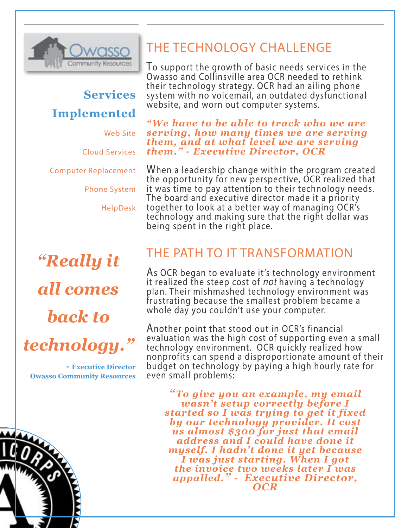

## **Services Implemented**

Web Site

Cloud Services

Computer Replacement

Phone System

HelpDesk

# *"Really it all comes back to*  technology.

**- Executive Director Owasso Community Resources**

### THE TECHNOLOGY CHALL ENGE

To support the growth of basic needs services in the Owasso and Collinsville area OCR needed to rethink their technology strategy. OCR had an ailing phone system with no voicemail, an outdated dysfunctional website, and worn out computer systems.

*"We have to be able to track who we are serving, how many times we are serving them, and at what level we are serving them." - Executive Director, OCR*

When a leadership change within the program created the opportunity for new perspective, OCR realized that it was time to pay attention to their technology needs. The board and executive director made it a priority together to look at a better way of managing OCR's technology and making sure that the right dollar was being spent in the right place.

#### THE PATH TO IT TRANSFORMATION

As OCR began to evaluate it's technology environment it realized the steep cost of *not* having a technology plan. Their mishmashed technology environment was frustrating because the smallest problem became a whole day you couldn't use your computer.

Another point that stood out in OCR's financial evaluation was the high cost of supporting even a small technology environment. OCR quickly realized how nonprofits can spend a disproportionate amount of their budget on technology by paying a high hourly rate for even small problems:

*"To give you an example, my email wasn't setup correctly before I started so I was trying to get it fixed by our technology provider. It cost us almost \$300 for just that email address and I could have done it myself. I hadn't done it yet because I was just starting. When I got the invoice two weeks later I was appalled." - Executive Director, OCR*